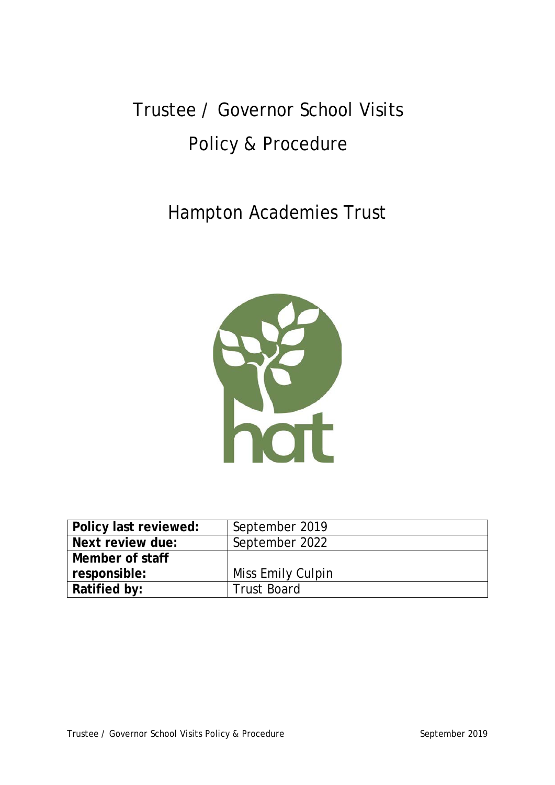# Trustee / Governor School Visits Policy & Procedure

# Hampton Academies Trust



| Policy last reviewed: | September 2019     |
|-----------------------|--------------------|
| Next review due:      | September 2022     |
| Member of staff       |                    |
| responsible:          | Miss Emily Culpin  |
| Ratified by:          | <b>Trust Board</b> |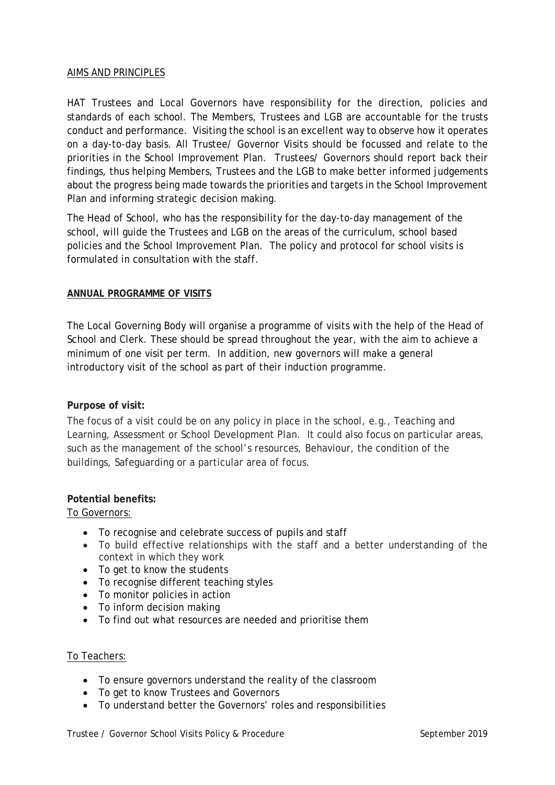# AIMS AND PRINCIPLES

HAT Trustees and Local Governors have responsibility for the direction, policies and standards of each school. The Members, Trustees and LGB are accountable for the trusts conduct and performance. Visiting the school is an excellent way to observe how it operates on a day-to-day basis. All Trustee/ Governor Visits should be focussed and relate to the priorities in the School Improvement Plan. Trustees/ Governors should report back their findings, thus helping Members, Trustees and the LGB to make better informed judgements about the progress being made towards the priorities and targets in the School Improvement Plan and informing strategic decision making.

The Head of School, who has the responsibility for the day-to-day management of the school, will guide the Trustees and LGB on the areas of the curriculum, school based policies and the School Improvement Plan. The policy and protocol for school visits is formulated in consultation with the staff.

### **ANNUAL PROGRAMME OF VISITS**

The Local Governing Body will organise a programme of visits with the help of the Head of School and Clerk. These should be spread throughout the year, with the aim to achieve a minimum of one visit per term. In addition, new governors will make a general introductory visit of the school as part of their induction programme.

### **Purpose of visit:**

The focus of a visit could be on any policy in place in the school, e.g., Teaching and Learning, Assessment or School Development Plan. It could also focus on particular areas, such as the management of the school's resources, Behaviour, the condition of the buildings, Safeguarding or a particular area of focus.

## **Potential benefits:**

To Governors:

- To recognise and celebrate success of pupils and staff
- To build effective relationships with the staff and a better understanding of the context in which they work
- To get to know the students
- To recognise different teaching styles
- To monitor policies in action
- To inform decision making
- To find out what resources are needed and prioritise them

#### To Teachers:

- To ensure governors understand the reality of the classroom
- To get to know Trustees and Governors
- To understand better the Governors' roles and responsibilities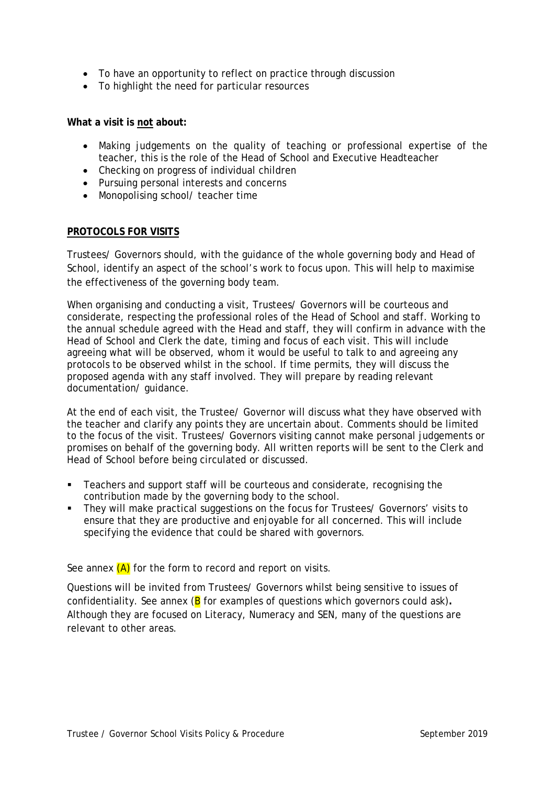- To have an opportunity to reflect on practice through discussion
- To highlight the need for particular resources

### **What a visit is not about:**

- Making judgements on the quality of teaching or professional expertise of the teacher, this is the role of the Head of School and Executive Headteacher
- Checking on progress of individual children
- Pursuing personal interests and concerns
- Monopolising school/ teacher time

### **PROTOCOLS FOR VISITS**

Trustees/ Governors should, with the guidance of the whole governing body and Head of School, identify an aspect of the school's work to focus upon. This will help to maximise the effectiveness of the governing body team.

When organising and conducting a visit, Trustees/ Governors will be courteous and considerate, respecting the professional roles of the Head of School and staff. Working to the annual schedule agreed with the Head and staff, they will confirm in advance with the Head of School and Clerk the date, timing and focus of each visit. This will include agreeing what will be observed, whom it would be useful to talk to and agreeing any protocols to be observed whilst in the school. If time permits, they will discuss the proposed agenda with any staff involved. They will prepare by reading relevant documentation/ guidance.

At the end of each visit, the Trustee/ Governor will discuss what they have observed with the teacher and clarify any points they are uncertain about. Comments should be limited to the focus of the visit. Trustees/ Governors visiting cannot make personal judgements or promises on behalf of the governing body. All written reports will be sent to the Clerk and Head of School before being circulated or discussed.

- Teachers and support staff will be courteous and considerate, recognising the contribution made by the governing body to the school.
- They will make practical suggestions on the focus for Trustees/ Governors' visits to ensure that they are productive and enjoyable for all concerned. This will include specifying the evidence that could be shared with governors.

See annex  $(A)$  for the form to record and report on visits.

Questions will be invited from Trustees/ Governors whilst being sensitive to issues of confidentiality. See annex (B for examples of questions which governors could ask)**.** Although they are focused on Literacy, Numeracy and SEN, many of the questions are relevant to other areas.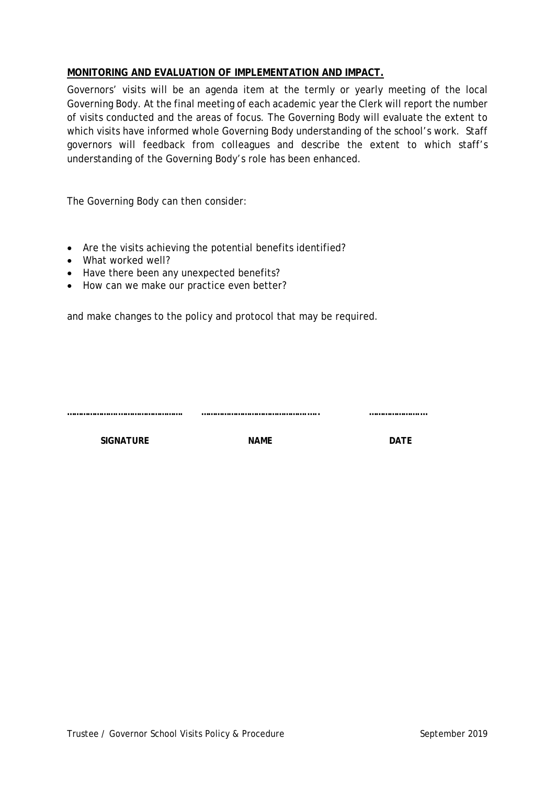# **MONITORING AND EVALUATION OF IMPLEMENTATION AND IMPACT.**

Governors' visits will be an agenda item at the termly or yearly meeting of the local Governing Body. At the final meeting of each academic year the Clerk will report the number of visits conducted and the areas of focus. The Governing Body will evaluate the extent to which visits have informed whole Governing Body understanding of the school's work. Staff governors will feedback from colleagues and describe the extent to which staff's understanding of the Governing Body's role has been enhanced.

The Governing Body can then consider:

- Are the visits achieving the potential benefits identified?
- What worked well?
- Have there been any unexpected benefits?
- How can we make our practice even better?

and make changes to the policy and protocol that may be required.

**………………….………………………. ……………………………………….….. ………………….…**

**SIGNATURE CONSIDERED IN A NAME NAME DATE**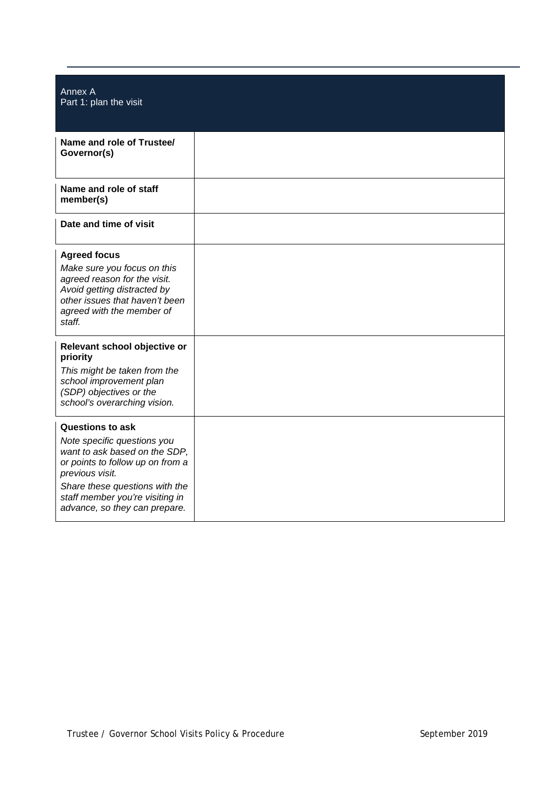| Annex A<br>Part 1: plan the visit                                                                                                                                                                                                                    |  |
|------------------------------------------------------------------------------------------------------------------------------------------------------------------------------------------------------------------------------------------------------|--|
| Name and role of Trustee/<br>Governor(s)                                                                                                                                                                                                             |  |
| Name and role of staff<br>member(s)                                                                                                                                                                                                                  |  |
| Date and time of visit                                                                                                                                                                                                                               |  |
| <b>Agreed focus</b><br>Make sure you focus on this<br>agreed reason for the visit.<br>Avoid getting distracted by<br>other issues that haven't been<br>agreed with the member of<br>staff.                                                           |  |
| Relevant school objective or<br>priority<br>This might be taken from the<br>school improvement plan<br>(SDP) objectives or the<br>school's overarching vision.                                                                                       |  |
| <b>Questions to ask</b><br>Note specific questions you<br>want to ask based on the SDP,<br>or points to follow up on from a<br>previous visit.<br>Share these questions with the<br>staff member you're visiting in<br>advance, so they can prepare. |  |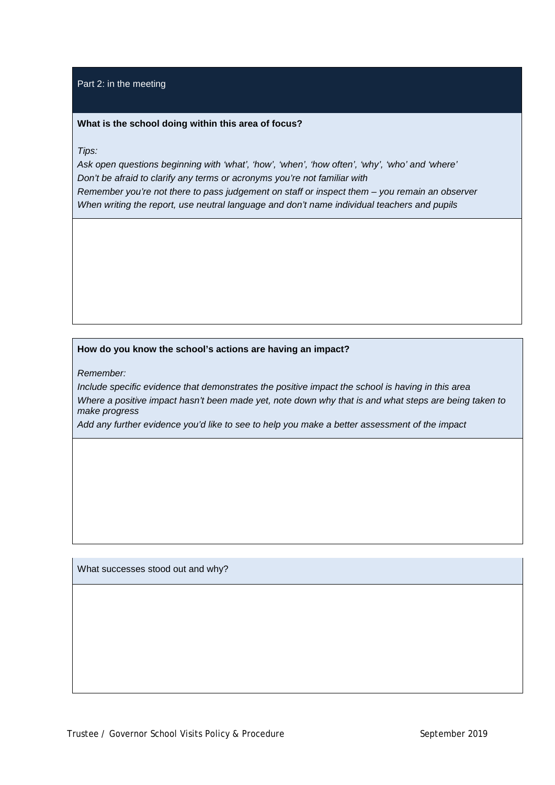#### Part 2: in the meeting

#### **What is the school doing within this area of focus?**

*Tips:*

*Ask open questions beginning with 'what', 'how', 'when', 'how often', 'why', 'who' and 'where' Don't be afraid to clarify any terms or acronyms you're not familiar with*

*Remember you're not there to pass judgement on staff or inspect them – you remain an observer When writing the report, use neutral language and don't name individual teachers and pupils*

# **How do you know the school's actions are having an impact?**

*Remember:*

*Include specific evidence that demonstrates the positive impact the school is having in this area Where a positive impact hasn't been made yet, note down why that is and what steps are being taken to make progress*

*Add any further evidence you'd like to see to help you make a better assessment of the impact*

What successes stood out and why?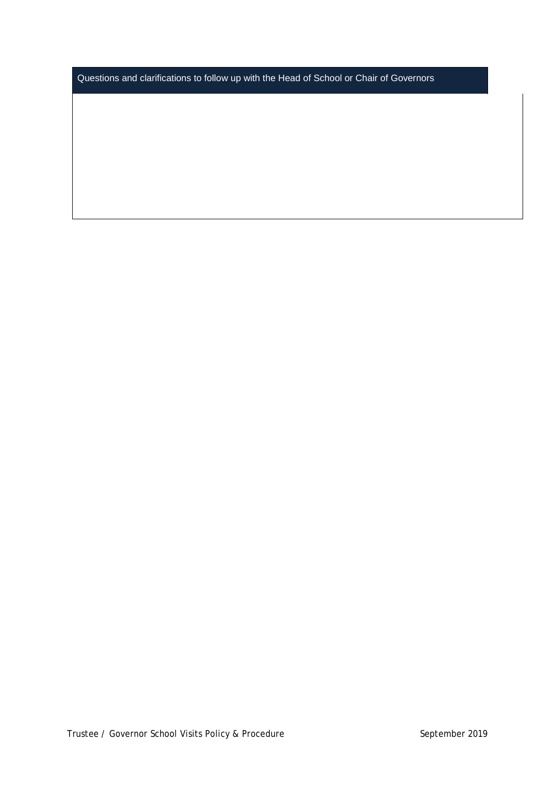Questions and clarifications to follow up with the Head of School or Chair of Governors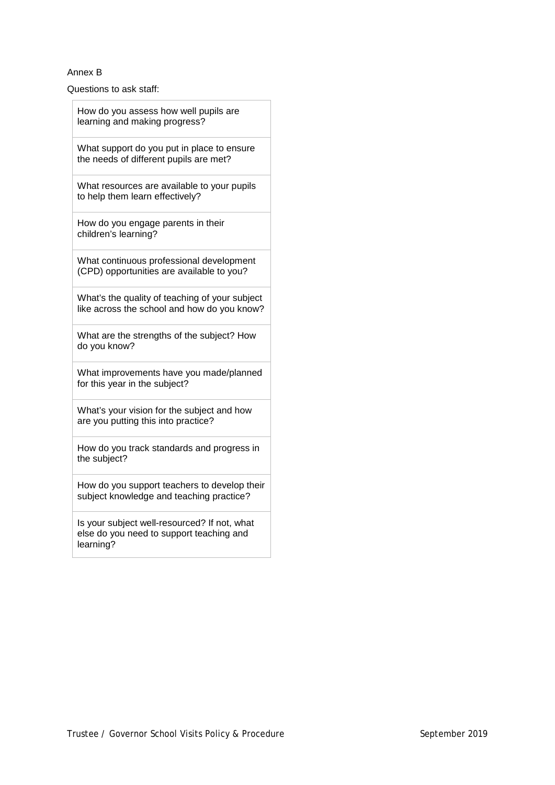#### Annex B

Questions to ask staff:

| How do you assess how well pupils are<br>learning and making progress?                                |  |
|-------------------------------------------------------------------------------------------------------|--|
| What support do you put in place to ensure<br>the needs of different pupils are met?                  |  |
| What resources are available to your pupils<br>to help them learn effectively?                        |  |
| How do you engage parents in their<br>children's learning?                                            |  |
| What continuous professional development<br>(CPD) opportunities are available to you?                 |  |
| What's the quality of teaching of your subject<br>like across the school and how do you know?         |  |
| What are the strengths of the subject? How<br>do you know?                                            |  |
| What improvements have you made/planned<br>for this year in the subject?                              |  |
| What's your vision for the subject and how<br>are you putting this into practice?                     |  |
| How do you track standards and progress in<br>the subject?                                            |  |
| How do you support teachers to develop their<br>subject knowledge and teaching practice?              |  |
| Is your subject well-resourced? If not, what<br>else do you need to support teaching and<br>learning? |  |